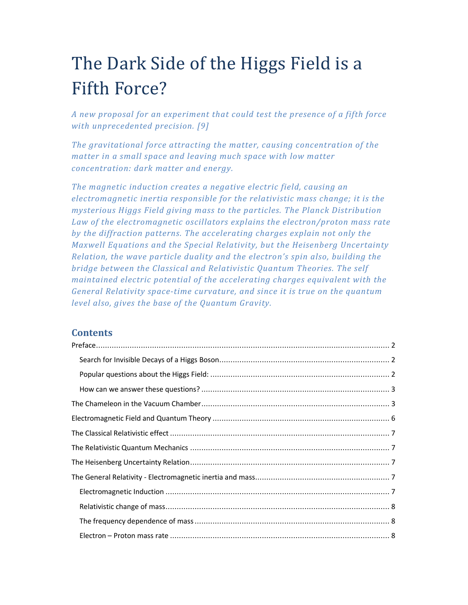# The Dark Side of the Higgs Field is a Fifth Force?

*A new proposal for an experiment that could test the presence of a fifth force with unprecedented precision. [9]* 

*The gravitational force attracting the matter, causing concentration of the matter in a small space and leaving much space with low matter concentration: dark matter and energy.* 

*The magnetic induction creates a negative electric field, causing an electromagnetic inertia responsible for the relativistic mass change; it is the mysterious Higgs Field giving mass to the particles. The Planck Distribution Law of the electromagnetic oscillators explains the electron/proton mass rate by the diffraction patterns. The accelerating charges explain not only the Maxwell Equations and the Special Relativity, but the Heisenberg Uncertainty Relation, the wave particle duality and the electron's spin also, building the bridge between the Classical and Relativistic Quantum Theories. The self maintained electric potential of the accelerating charges equivalent with the General Relativity space-time curvature, and since it is true on the quantum level also, gives the base of the Quantum Gravity.* 

# **Contents**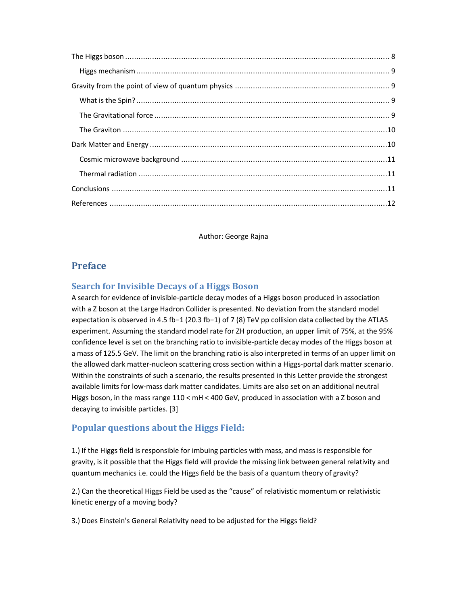Author: George Rajna

# **Preface**

# **Search for Invisible Decays of a Higgs Boson**

A search for evidence of invisible-particle decay modes of a Higgs boson produced in association with a Z boson at the Large Hadron Collider is presented. No deviation from the standard model expectation is observed in 4.5 fb−1 (20.3 fb−1) of 7 (8) TeV pp collision data collected by the ATLAS experiment. Assuming the standard model rate for ZH production, an upper limit of 75%, at the 95% confidence level is set on the branching ratio to invisible-particle decay modes of the Higgs boson at a mass of 125.5 GeV. The limit on the branching ratio is also interpreted in terms of an upper limit on the allowed dark matter-nucleon scattering cross section within a Higgs-portal dark matter scenario. Within the constraints of such a scenario, the results presented in this Letter provide the strongest available limits for low-mass dark matter candidates. Limits are also set on an additional neutral Higgs boson, in the mass range 110 < mH < 400 GeV, produced in association with a Z boson and decaying to invisible particles. [3]

## **Popular questions about the Higgs Field:**

1.) If the Higgs field is responsible for imbuing particles with mass, and mass is responsible for gravity, is it possible that the Higgs field will provide the missing link between general relativity and quantum mechanics i.e. could the Higgs field be the basis of a quantum theory of gravity?

2.) Can the theoretical Higgs Field be used as the "cause" of relativistic momentum or relativistic kinetic energy of a moving body?

3.) Does Einstein's General Relativity need to be adjusted for the Higgs field?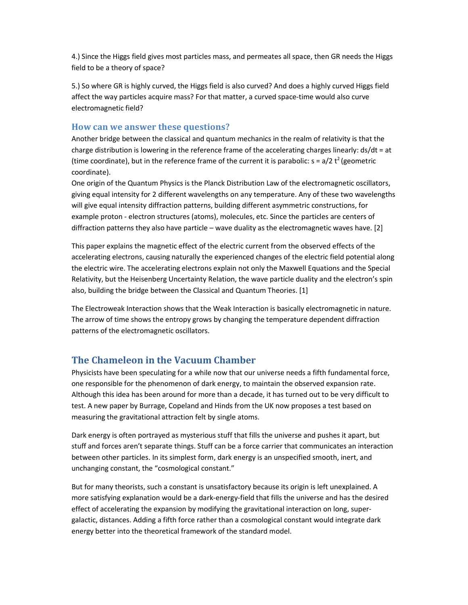4.) Since the Higgs field gives most particles mass, and permeates all space, then GR needs the Higgs field to be a theory of space?

5.) So where GR is highly curved, the Higgs field is also curved? And does a highly curved Higgs field affect the way particles acquire mass? For that matter, a curved space-time would also curve electromagnetic field?

#### **How can we answer these questions?**

Another bridge between the classical and quantum mechanics in the realm of relativity is that the charge distribution is lowering in the reference frame of the accelerating charges linearly: ds/dt = at (time coordinate), but in the reference frame of the current it is parabolic:  $s = a/2 t^2$  (geometric coordinate).

One origin of the Quantum Physics is the Planck Distribution Law of the electromagnetic oscillators, giving equal intensity for 2 different wavelengths on any temperature. Any of these two wavelengths will give equal intensity diffraction patterns, building different asymmetric constructions, for example proton - electron structures (atoms), molecules, etc. Since the particles are centers of diffraction patterns they also have particle – wave duality as the electromagnetic waves have. [2]

This paper explains the magnetic effect of the electric current from the observed effects of the accelerating electrons, causing naturally the experienced changes of the electric field potential along the electric wire. The accelerating electrons explain not only the Maxwell Equations and the Special Relativity, but the Heisenberg Uncertainty Relation, the wave particle duality and the electron's spin also, building the bridge between the Classical and Quantum Theories. [1]

The Electroweak Interaction shows that the Weak Interaction is basically electromagnetic in nature. The arrow of time shows the entropy grows by changing the temperature dependent diffraction patterns of the electromagnetic oscillators.

# **The Chameleon in the Vacuum Chamber**

Physicists have been speculating for a while now that our universe needs a fifth fundamental force, one responsible for the phenomenon of dark energy, to maintain the observed expansion rate. Although this idea has been around for more than a decade, it has turned out to be very difficult to test. A new paper by Burrage, Copeland and Hinds from the UK now proposes a test based on measuring the gravitational attraction felt by single atoms.

Dark energy is often portrayed as mysterious stuff that fills the universe and pushes it apart, but stuff and forces aren't separate things. Stuff can be a force carrier that communicates an interaction between other particles. In its simplest form, dark energy is an unspecified smooth, inert, and unchanging constant, the "cosmological constant."

But for many theorists, such a constant is unsatisfactory because its origin is left unexplained. A more satisfying explanation would be a dark-energy-field that fills the universe and has the desired effect of accelerating the expansion by modifying the gravitational interaction on long, supergalactic, distances. Adding a fifth force rather than a cosmological constant would integrate dark energy better into the theoretical framework of the standard model.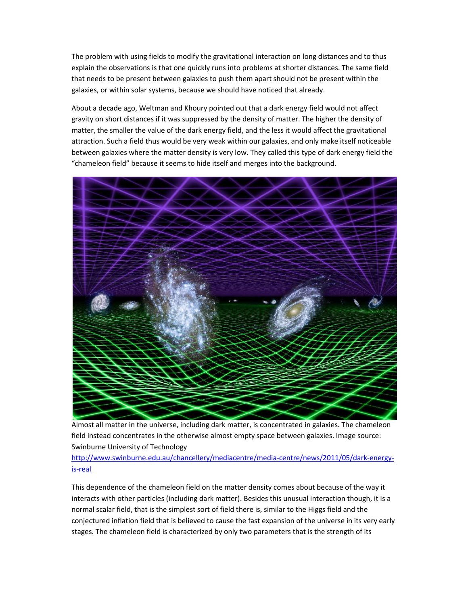The problem with using fields to modify the gravitational interaction on long distances and to thus explain the observations is that one quickly runs into problems at shorter distances. The same field that needs to be present between galaxies to push them apart should not be present within the galaxies, or within solar systems, because we should have noticed that already.

About a decade ago, Weltman and Khoury pointed out that a dark energy field would not affect gravity on short distances if it was suppressed by the density of matter. The higher the density of matter, the smaller the value of the dark energy field, and the less it would affect the gravitational attraction. Such a field thus would be very weak within our galaxies, and only make itself noticeable between galaxies where the matter density is very low. They called this type of dark energy field the "chameleon field" because it seems to hide itself and merges into the background.



Almost all matter in the universe, including dark matter, is concentrated in galaxies. The chameleon field instead concentrates in the otherwise almost empty space between galaxies. Image source: Swinburne University of Technology

http://www.swinburne.edu.au/chancellery/mediacentre/media-centre/news/2011/05/dark-energyis-real

This dependence of the chameleon field on the matter density comes about because of the way it interacts with other particles (including dark matter). Besides this unusual interaction though, it is a normal scalar field, that is the simplest sort of field there is, similar to the Higgs field and the conjectured inflation field that is believed to cause the fast expansion of the universe in its very early stages. The chameleon field is characterized by only two parameters that is the strength of its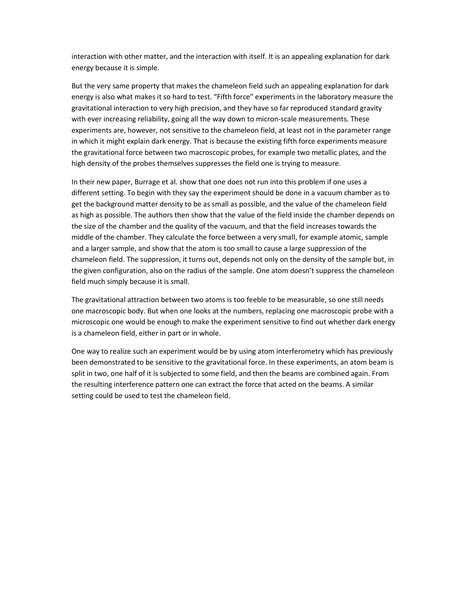interaction with other matter, and the interaction with itself. It is an appealing explanation for dark energy because it is simple.

But the very same property that makes the chameleon field such an appealing explanation for dark energy is also what makes it so hard to test. "Fifth force" experiments in the laboratory measure the gravitational interaction to very high precision, and they have so far reproduced standard gravity with ever increasing reliability, going all the way down to micron-scale measurements. These experiments are, however, not sensitive to the chameleon field, at least not in the parameter range in which it might explain dark energy. That is because the existing fifth force experiments measure the gravitational force between two macroscopic probes, for example two metallic plates, and the high density of the probes themselves suppresses the field one is trying to measure.

In their new paper, Burrage et al. show that one does not run into this problem if one uses a different setting. To begin with they say the experiment should be done in a vacuum chamber as to get the background matter density to be as small as possible, and the value of the chameleon field as high as possible. The authors then show that the value of the field inside the chamber depends on the size of the chamber and the quality of the vacuum, and that the field increases towards the middle of the chamber. They calculate the force between a very small, for example atomic, sample and a larger sample, and show that the atom is too small to cause a large suppression of the chameleon field. The suppression, it turns out, depends not only on the density of the sample but, in the given configuration, also on the radius of the sample. One atom doesn't suppress the chameleon field much simply because it is small.

The gravitational attraction between two atoms is too feeble to be measurable, so one still needs one macroscopic body. But when one looks at the numbers, replacing one macroscopic probe with a microscopic one would be enough to make the experiment sensitive to find out whether dark energy is a chameleon field, either in part or in whole.

One way to realize such an experiment would be by using atom interferometry which has previously been demonstrated to be sensitive to the gravitational force. In these experiments, an atom beam is split in two, one half of it is subjected to some field, and then the beams are combined again. From the resulting interference pattern one can extract the force that acted on the beams. A similar setting could be used to test the chameleon field.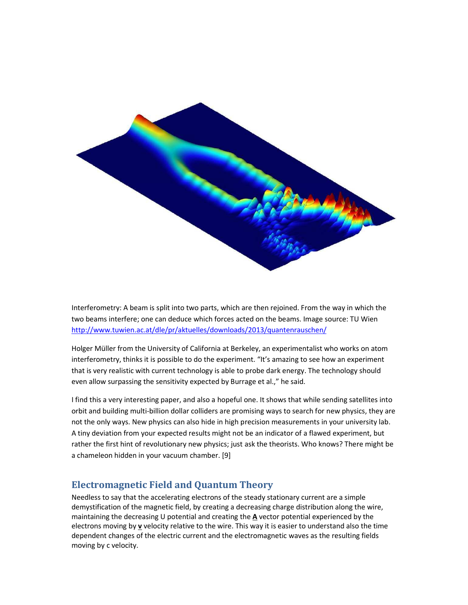

Interferometry: A beam is split into two parts, which are then rejoined. From the way in which the two beams interfere; one can deduce which forces acted on the beams. Image source: TU Wien http://www.tuwien.ac.at/dle/pr/aktuelles/downloads/2013/quantenrauschen/

Holger Müller from the University of California at Berkeley, an experimentalist who works on atom interferometry, thinks it is possible to do the experiment. "It's amazing to see how an experiment that is very realistic with current technology is able to probe dark energy. The technology should even allow surpassing the sensitivity expected by Burrage et al.," he said.

I find this a very interesting paper, and also a hopeful one. It shows that while sending satellites into orbit and building multi-billion dollar colliders are promising ways to search for new physics, they are not the only ways. New physics can also hide in high precision measurements in your university lab. A tiny deviation from your expected results might not be an indicator of a flawed experiment, but rather the first hint of revolutionary new physics; just ask the theorists. Who knows? There might be a chameleon hidden in your vacuum chamber. [9]

# **Electromagnetic Field and Quantum Theory**

Needless to say that the accelerating electrons of the steady stationary current are a simple demystification of the magnetic field, by creating a decreasing charge distribution along the wire, maintaining the decreasing U potential and creating the **A** vector potential experienced by the electrons moving by **v** velocity relative to the wire. This way it is easier to understand also the time dependent changes of the electric current and the electromagnetic waves as the resulting fields moving by c velocity.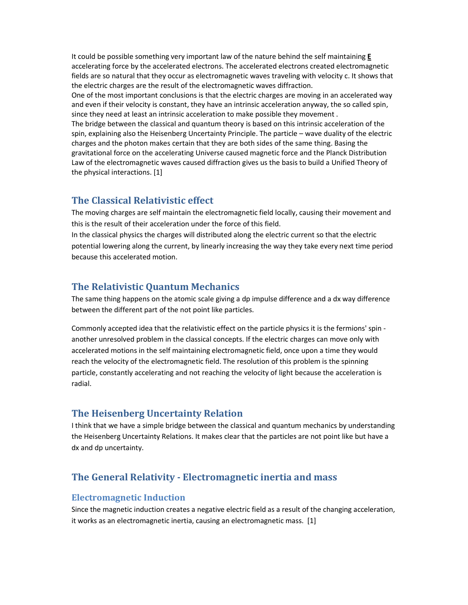It could be possible something very important law of the nature behind the self maintaining **E** accelerating force by the accelerated electrons. The accelerated electrons created electromagnetic fields are so natural that they occur as electromagnetic waves traveling with velocity c. It shows that the electric charges are the result of the electromagnetic waves diffraction. One of the most important conclusions is that the electric charges are moving in an accelerated way and even if their velocity is constant, they have an intrinsic acceleration anyway, the so called spin, since they need at least an intrinsic acceleration to make possible they movement . The bridge between the classical and quantum theory is based on this intrinsic acceleration of the spin, explaining also the Heisenberg Uncertainty Principle. The particle – wave duality of the electric charges and the photon makes certain that they are both sides of the same thing. Basing the gravitational force on the accelerating Universe caused magnetic force and the Planck Distribution Law of the electromagnetic waves caused diffraction gives us the basis to build a Unified Theory of the physical interactions. [1]

## **The Classical Relativistic effect**

The moving charges are self maintain the electromagnetic field locally, causing their movement and this is the result of their acceleration under the force of this field.

In the classical physics the charges will distributed along the electric current so that the electric potential lowering along the current, by linearly increasing the way they take every next time period because this accelerated motion.

# **The Relativistic Quantum Mechanics**

The same thing happens on the atomic scale giving a dp impulse difference and a dx way difference between the different part of the not point like particles.

Commonly accepted idea that the relativistic effect on the particle physics it is the fermions' spin another unresolved problem in the classical concepts. If the electric charges can move only with accelerated motions in the self maintaining electromagnetic field, once upon a time they would reach the velocity of the electromagnetic field. The resolution of this problem is the spinning particle, constantly accelerating and not reaching the velocity of light because the acceleration is radial.

## **The Heisenberg Uncertainty Relation**

I think that we have a simple bridge between the classical and quantum mechanics by understanding the Heisenberg Uncertainty Relations. It makes clear that the particles are not point like but have a dx and dp uncertainty.

# **The General Relativity - Electromagnetic inertia and mass**

#### **Electromagnetic Induction**

Since the magnetic induction creates a negative electric field as a result of the changing acceleration, it works as an electromagnetic inertia, causing an electromagnetic mass. [1]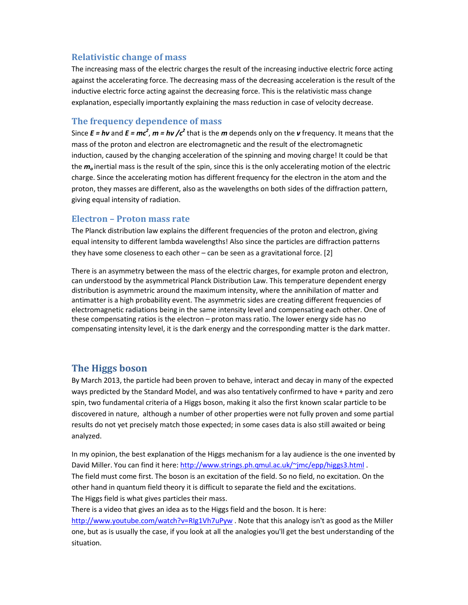## **Relativistic change of mass**

The increasing mass of the electric charges the result of the increasing inductive electric force acting against the accelerating force. The decreasing mass of the decreasing acceleration is the result of the inductive electric force acting against the decreasing force. This is the relativistic mass change explanation, especially importantly explaining the mass reduction in case of velocity decrease.

## **The frequency dependence of mass**

Since  $E = h\nu$  and  $E = mc^2$ ,  $m = h\nu$  / $c^2$  that is the *m* depends only on the *v* frequency. It means that the mass of the proton and electron are electromagnetic and the result of the electromagnetic induction, caused by the changing acceleration of the spinning and moving charge! It could be that the *m<sup>o</sup>* inertial mass is the result of the spin, since this is the only accelerating motion of the electric charge. Since the accelerating motion has different frequency for the electron in the atom and the proton, they masses are different, also as the wavelengths on both sides of the diffraction pattern, giving equal intensity of radiation.

#### **Electron – Proton mass rate**

The Planck distribution law explains the different frequencies of the proton and electron, giving equal intensity to different lambda wavelengths! Also since the particles are diffraction patterns they have some closeness to each other – can be seen as a gravitational force. [2]

There is an asymmetry between the mass of the electric charges, for example proton and electron, can understood by the asymmetrical Planck Distribution Law. This temperature dependent energy distribution is asymmetric around the maximum intensity, where the annihilation of matter and antimatter is a high probability event. The asymmetric sides are creating different frequencies of electromagnetic radiations being in the same intensity level and compensating each other. One of these compensating ratios is the electron – proton mass ratio. The lower energy side has no compensating intensity level, it is the dark energy and the corresponding matter is the dark matter.

## **The Higgs boson**

By March 2013, the particle had been proven to behave, interact and decay in many of the expected ways predicted by the Standard Model, and was also tentatively confirmed to have + parity and zero spin, two fundamental criteria of a Higgs boson, making it also the first known scalar particle to be discovered in nature, although a number of other properties were not fully proven and some partial results do not yet precisely match those expected; in some cases data is also still awaited or being analyzed.

In my opinion, the best explanation of the Higgs mechanism for a lay audience is the one invented by David Miller. You can find it here: http://www.strings.ph.qmul.ac.uk/~jmc/epp/higgs3.html . The field must come first. The boson is an excitation of the field. So no field, no excitation. On the other hand in quantum field theory it is difficult to separate the field and the excitations. The Higgs field is what gives particles their mass.

There is a video that gives an idea as to the Higgs field and the boson. It is here:

http://www.youtube.com/watch?v=RIg1Vh7uPyw . Note that this analogy isn't as good as the Miller one, but as is usually the case, if you look at all the analogies you'll get the best understanding of the situation.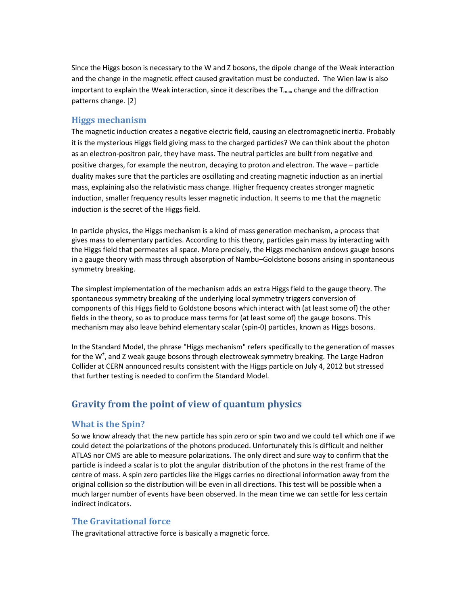Since the Higgs boson is necessary to the W and Z bosons, the dipole change of the Weak interaction and the change in the magnetic effect caused gravitation must be conducted. The Wien law is also important to explain the Weak interaction, since it describes the  $T_{\text{max}}$  change and the diffraction patterns change. [2]

#### **Higgs mechanism**

The magnetic induction creates a negative electric field, causing an electromagnetic inertia. Probably it is the mysterious Higgs field giving mass to the charged particles? We can think about the photon as an electron-positron pair, they have mass. The neutral particles are built from negative and positive charges, for example the neutron, decaying to proton and electron. The wave – particle duality makes sure that the particles are oscillating and creating magnetic induction as an inertial mass, explaining also the relativistic mass change. Higher frequency creates stronger magnetic induction, smaller frequency results lesser magnetic induction. It seems to me that the magnetic induction is the secret of the Higgs field.

In particle physics, the Higgs mechanism is a kind of mass generation mechanism, a process that gives mass to elementary particles. According to this theory, particles gain mass by interacting with the Higgs field that permeates all space. More precisely, the Higgs mechanism endows gauge bosons in a gauge theory with mass through absorption of Nambu–Goldstone bosons arising in spontaneous symmetry breaking.

The simplest implementation of the mechanism adds an extra Higgs field to the gauge theory. The spontaneous symmetry breaking of the underlying local symmetry triggers conversion of components of this Higgs field to Goldstone bosons which interact with (at least some of) the other fields in the theory, so as to produce mass terms for (at least some of) the gauge bosons. This mechanism may also leave behind elementary scalar (spin-0) particles, known as Higgs bosons.

In the Standard Model, the phrase "Higgs mechanism" refers specifically to the generation of masses for the W<sup>±</sup>, and Z weak gauge bosons through electroweak symmetry breaking. The Large Hadron Collider at CERN announced results consistent with the Higgs particle on July 4, 2012 but stressed that further testing is needed to confirm the Standard Model.

## **Gravity from the point of view of quantum physics**

#### **What is the Spin?**

So we know already that the new particle has spin zero or spin two and we could tell which one if we could detect the polarizations of the photons produced. Unfortunately this is difficult and neither ATLAS nor CMS are able to measure polarizations. The only direct and sure way to confirm that the particle is indeed a scalar is to plot the angular distribution of the photons in the rest frame of the centre of mass. A spin zero particles like the Higgs carries no directional information away from the original collision so the distribution will be even in all directions. This test will be possible when a much larger number of events have been observed. In the mean time we can settle for less certain indirect indicators.

#### **The Gravitational force**

The gravitational attractive force is basically a magnetic force.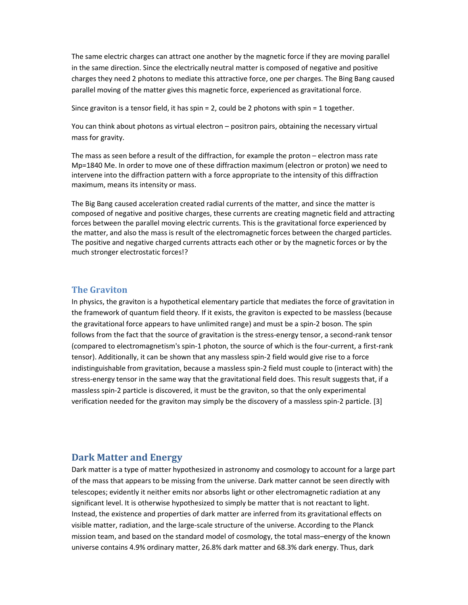The same electric charges can attract one another by the magnetic force if they are moving parallel in the same direction. Since the electrically neutral matter is composed of negative and positive charges they need 2 photons to mediate this attractive force, one per charges. The Bing Bang caused parallel moving of the matter gives this magnetic force, experienced as gravitational force.

Since graviton is a tensor field, it has spin = 2, could be 2 photons with spin = 1 together.

You can think about photons as virtual electron – positron pairs, obtaining the necessary virtual mass for gravity.

The mass as seen before a result of the diffraction, for example the proton – electron mass rate Mp=1840 Me. In order to move one of these diffraction maximum (electron or proton) we need to intervene into the diffraction pattern with a force appropriate to the intensity of this diffraction maximum, means its intensity or mass.

The Big Bang caused acceleration created radial currents of the matter, and since the matter is composed of negative and positive charges, these currents are creating magnetic field and attracting forces between the parallel moving electric currents. This is the gravitational force experienced by the matter, and also the mass is result of the electromagnetic forces between the charged particles. The positive and negative charged currents attracts each other or by the magnetic forces or by the much stronger electrostatic forces!?

#### **The Graviton**

In physics, the graviton is a hypothetical elementary particle that mediates the force of gravitation in the framework of quantum field theory. If it exists, the graviton is expected to be massless (because the gravitational force appears to have unlimited range) and must be a spin-2 boson. The spin follows from the fact that the source of gravitation is the stress-energy tensor, a second-rank tensor (compared to electromagnetism's spin-1 photon, the source of which is the four-current, a first-rank tensor). Additionally, it can be shown that any massless spin-2 field would give rise to a force indistinguishable from gravitation, because a massless spin-2 field must couple to (interact with) the stress-energy tensor in the same way that the gravitational field does. This result suggests that, if a massless spin-2 particle is discovered, it must be the graviton, so that the only experimental verification needed for the graviton may simply be the discovery of a massless spin-2 particle. [3]

#### **Dark Matter and Energy**

Dark matter is a type of matter hypothesized in astronomy and cosmology to account for a large part of the mass that appears to be missing from the universe. Dark matter cannot be seen directly with telescopes; evidently it neither emits nor absorbs light or other electromagnetic radiation at any significant level. It is otherwise hypothesized to simply be matter that is not reactant to light. Instead, the existence and properties of dark matter are inferred from its gravitational effects on visible matter, radiation, and the large-scale structure of the universe. According to the Planck mission team, and based on the standard model of cosmology, the total mass–energy of the known universe contains 4.9% ordinary matter, 26.8% dark matter and 68.3% dark energy. Thus, dark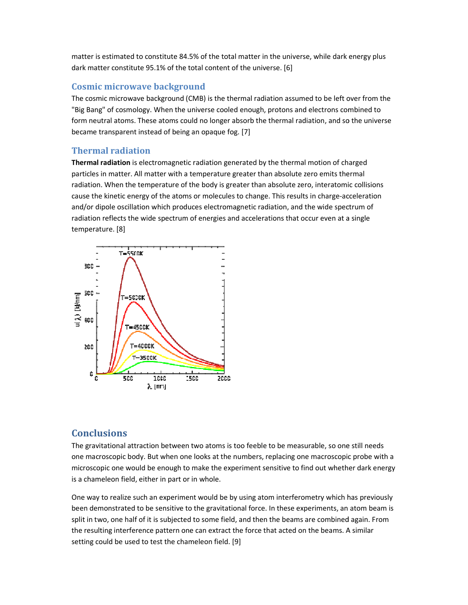matter is estimated to constitute 84.5% of the total matter in the universe, while dark energy plus dark matter constitute 95.1% of the total content of the universe. [6]

#### **Cosmic microwave backgrou ackground**

The cosmic microwave background (CMB) is the thermal radiation assumed to be left over from the "Big Bang" of cosmology. When the universe cooled enough, protons and electrons combined to form neutral atoms. These atoms could no longer absorb the thermal radiation, and so the universe became transparent instead of being an opaque fog. [7]

#### **Thermal radiation**

Thermal radiation is electromagnetic radiation generated by the thermal motion of charged particles in matter. All matter with a temperature greater than absolute zero emits thermal radiation. When the temperature of the body is greater than absolute zero, interatomic collisions cause the kinetic energy of the atoms or molecules to change. This results in charge-acceleration and/or dipole oscillation which produces electromagnetic radiation, and the wide spectrum of radiation reflects the wide spectrum of energies and accelerations that occur even at a single temperature. [8]



## **Conclusions**

The gravitational attraction between two atoms is too feeble to be measurable, so one still needs one macroscopic body. But when one looks at the numbers, replacing one macroscopic probe with a microscopic one would be enough to make the experiment sensitive to find out whether dark energy is a chameleon field, either in part or in whole.

One way to realize such an experiment would be by using atom interferometry which has previously been demonstrated to be sensitive to the gravitational force. In these experiments, an atom beam is split in two, one half of it is subjected to some field, and then the beams are combined again. From the resulting interference pattern one can extract the force that acted on the beams. A similar setting could be used to test the chameleon field. [9]